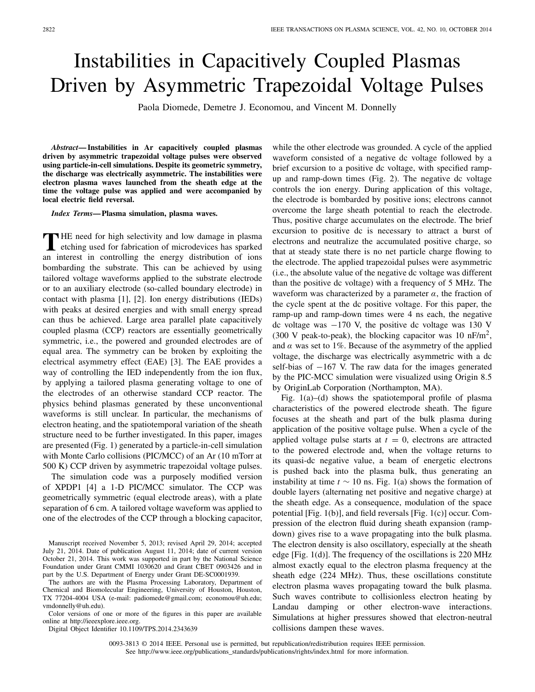## Instabilities in Capacitively Coupled Plasmas Driven by Asymmetric Trapezoidal Voltage Pulses

Paola Diomede, Demetre J. Economou, and Vincent M. Donnelly

*Abstract***— Instabilities in Ar capacitively coupled plasmas driven by asymmetric trapezoidal voltage pulses were observed using particle-in-cell simulations. Despite its geometric symmetry, the discharge was electrically asymmetric. The instabilities were electron plasma waves launched from the sheath edge at the time the voltage pulse was applied and were accompanied by local electric field reversal.**

*Index Terms***— Plasma simulation, plasma waves.**

THE need for high selectivity and low damage in plasma<br>
etching used for fabrication of microdevices has sparked an interest in controlling the energy distribution of ions bombarding the substrate. This can be achieved by using tailored voltage waveforms applied to the substrate electrode or to an auxiliary electrode (so-called boundary electrode) in contact with plasma [1], [2]. Ion energy distributions (IEDs) with peaks at desired energies and with small energy spread can thus be achieved. Large area parallel plate capacitively coupled plasma (CCP) reactors are essentially geometrically symmetric, i.e., the powered and grounded electrodes are of equal area. The symmetry can be broken by exploiting the electrical asymmetry effect (EAE) [3]. The EAE provides a way of controlling the IED independently from the ion flux, by applying a tailored plasma generating voltage to one of the electrodes of an otherwise standard CCP reactor. The physics behind plasmas generated by these unconventional waveforms is still unclear. In particular, the mechanisms of electron heating, and the spatiotemporal variation of the sheath structure need to be further investigated. In this paper, images are presented (Fig. 1) generated by a particle-in-cell simulation with Monte Carlo collisions (PIC/MCC) of an Ar (10 mTorr at 500 K) CCP driven by asymmetric trapezoidal voltage pulses.

The simulation code was a purposely modified version of XPDP1 [4] a 1-D PIC/MCC simulator. The CCP was geometrically symmetric (equal electrode areas), with a plate separation of 6 cm. A tailored voltage waveform was applied to one of the electrodes of the CCP through a blocking capacitor,

Manuscript received November 5, 2013; revised April 29, 2014; accepted July 21, 2014. Date of publication August 11, 2014; date of current version October 21, 2014. This work was supported in part by the National Science Foundation under Grant CMMI 1030620 and Grant CBET 0903426 and in part by the U.S. Department of Energy under Grant DE-SC0001939.

The authors are with the Plasma Processing Laboratory, Department of Chemical and Biomolecular Engineering, University of Houston, Houston, TX 77204-4004 USA (e-mail: padiomede@gmail.com; economou@uh.edu; vmdonnelly@uh.edu).

Color versions of one or more of the figures in this paper are available online at http://ieeexplore.ieee.org.

Digital Object Identifier 10.1109/TPS.2014.2343639

while the other electrode was grounded. A cycle of the applied waveform consisted of a negative dc voltage followed by a brief excursion to a positive dc voltage, with specified rampup and ramp-down times (Fig. 2). The negative dc voltage controls the ion energy. During application of this voltage, the electrode is bombarded by positive ions; electrons cannot overcome the large sheath potential to reach the electrode. Thus, positive charge accumulates on the electrode. The brief excursion to positive dc is necessary to attract a burst of electrons and neutralize the accumulated positive charge, so that at steady state there is no net particle charge flowing to the electrode. The applied trapezoidal pulses were asymmetric (i.e., the absolute value of the negative dc voltage was different than the positive dc voltage) with a frequency of 5 MHz. The waveform was characterized by a parameter  $\alpha$ , the fraction of the cycle spent at the dc positive voltage. For this paper, the ramp-up and ramp-down times were 4 ns each, the negative dc voltage was  $-170$  V, the positive dc voltage was 130 V (300 V peak-to-peak), the blocking capacitor was 10 nF/m<sup>2</sup>, and  $\alpha$  was set to 1%. Because of the asymmetry of the applied voltage, the discharge was electrically asymmetric with a dc self-bias of −167 V. The raw data for the images generated by the PIC-MCC simulation were visualized using Origin 8.5 by OriginLab Corporation (Northampton, MA).

Fig. 1(a)–(d) shows the spatiotemporal profile of plasma characteristics of the powered electrode sheath. The figure focuses at the sheath and part of the bulk plasma during application of the positive voltage pulse. When a cycle of the applied voltage pulse starts at  $t = 0$ , electrons are attracted to the powered electrode and, when the voltage returns to its quasi-dc negative value, a beam of energetic electrons is pushed back into the plasma bulk, thus generating an instability at time  $t \sim 10$  ns. Fig. 1(a) shows the formation of double layers (alternating net positive and negative charge) at the sheath edge. As a consequence, modulation of the space potential [Fig. 1(b)], and field reversals [Fig. 1(c)] occur. Compression of the electron fluid during sheath expansion (rampdown) gives rise to a wave propagating into the bulk plasma. The electron density is also oscillatory, especially at the sheath edge [Fig. 1(d)]. The frequency of the oscillations is 220 MHz almost exactly equal to the electron plasma frequency at the sheath edge (224 MHz). Thus, these oscillations constitute electron plasma waves propagating toward the bulk plasma. Such waves contribute to collisionless electron heating by Landau damping or other electron-wave interactions. Simulations at higher pressures showed that electron-neutral collisions dampen these waves.

0093-3813 © 2014 IEEE. Personal use is permitted, but republication/redistribution requires IEEE permission. See http://www.ieee.org/publications\_standards/publications/rights/index.html for more information.